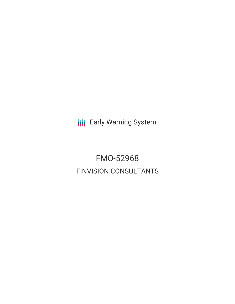**III** Early Warning System

FMO-52968 FINVISION CONSULTANTS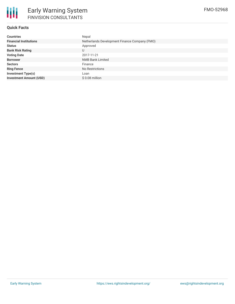

## **Quick Facts**

| <b>Countries</b>               | Nepal                                         |  |  |  |  |
|--------------------------------|-----------------------------------------------|--|--|--|--|
| <b>Financial Institutions</b>  | Netherlands Development Finance Company (FMO) |  |  |  |  |
| <b>Status</b>                  | Approved                                      |  |  |  |  |
| <b>Bank Risk Rating</b>        | U                                             |  |  |  |  |
| <b>Voting Date</b>             | 2017-11-21                                    |  |  |  |  |
| <b>Borrower</b>                | <b>NMB Bank Limited</b>                       |  |  |  |  |
| <b>Sectors</b>                 | Finance                                       |  |  |  |  |
| <b>Ring Fence</b>              | No Restrictions                               |  |  |  |  |
| <b>Investment Type(s)</b>      | Loan                                          |  |  |  |  |
| <b>Investment Amount (USD)</b> | $$0.08$ million                               |  |  |  |  |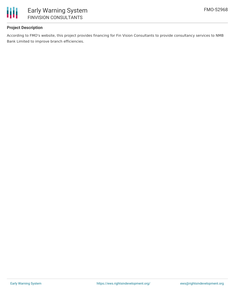

### **Project Description**

According to FMO's website, this project provides financing for Fin Vision Consultants to provide consultancy services to NMB Bank Limited to improve branch efficiencies.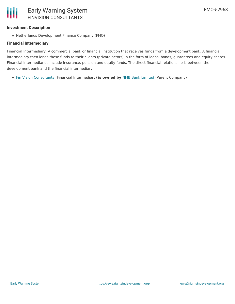# **Investment Description**

Netherlands Development Finance Company (FMO)

# **Financial Intermediary**

Financial Intermediary: A commercial bank or financial institution that receives funds from a development bank. A financial intermediary then lends these funds to their clients (private actors) in the form of loans, bonds, guarantees and equity shares. Financial intermediaries include insurance, pension and equity funds. The direct financial relationship is between the development bank and the financial intermediary.

Fin Vision [Consultants](file:///actor/3474/) (Financial Intermediary) **is owned by** NMB Bank [Limited](file:///actor/479/) (Parent Company)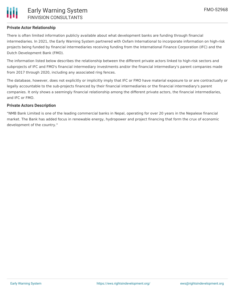

### **Private Actor Relationship**

There is often limited information publicly available about what development banks are funding through financial intermediaries. In 2021, the Early Warning System partnered with Oxfam International to incorporate information on high-risk projects being funded by financial intermediaries receiving funding from the International Finance Corporation (IFC) and the Dutch Development Bank (FMO).

The information listed below describes the relationship between the different private actors linked to high-risk sectors and subprojects of IFC and FMO's financial intermediary investments and/or the financial intermediary's parent companies made from 2017 through 2020, including any associated ring fences.

The database, however, does not explicitly or implicitly imply that IFC or FMO have material exposure to or are contractually or legally accountable to the sub-projects financed by their financial intermediaries or the financial intermediary's parent companies. It only shows a seemingly financial relationship among the different private actors, the financial intermediaries, and IFC or FMO.

### **Private Actors Description**

"NMB Bank Limited is one of the leading commercial banks in Nepal, operating for over 20 years in the Nepalese financial market. The Bank has added focus in renewable energy, hydropower and project financing that form the crux of economic development of the country."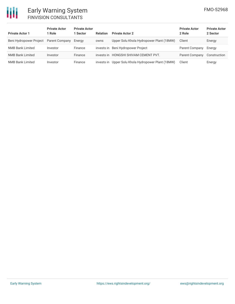# 冊

# Early Warning System FINVISION CONSULTANTS

| <b>Private Actor 1</b>                 | <b>Private Actor</b><br>1 Role | <b>Private Actor</b><br>1 Sector | <b>Relation</b> | <b>Private Actor 2</b>                   | <b>Private Actor</b><br>2 Role | <b>Private Actor</b><br>2 Sector |
|----------------------------------------|--------------------------------|----------------------------------|-----------------|------------------------------------------|--------------------------------|----------------------------------|
| Beni Hydropower Project Parent Company |                                | Energy                           | owns            | Upper Solu Khola Hydropower Plant (18MW) | Client                         | Energy                           |
| <b>NMB Bank Limited</b>                | Investor                       | Finance                          |                 | invests in Beni Hydropower Project       | Parent Company                 | Energy                           |
| <b>NMB Bank Limited</b>                | Investor                       | Finance                          | invests in      | HONGSHI SHIVAM CEMENT PVT.               | Parent Company                 | Construction                     |
| <b>NMB Bank Limited</b>                | Investor                       | Finance                          | invests in      | Upper Solu Khola Hydropower Plant (18MW) | Client                         | Energy                           |